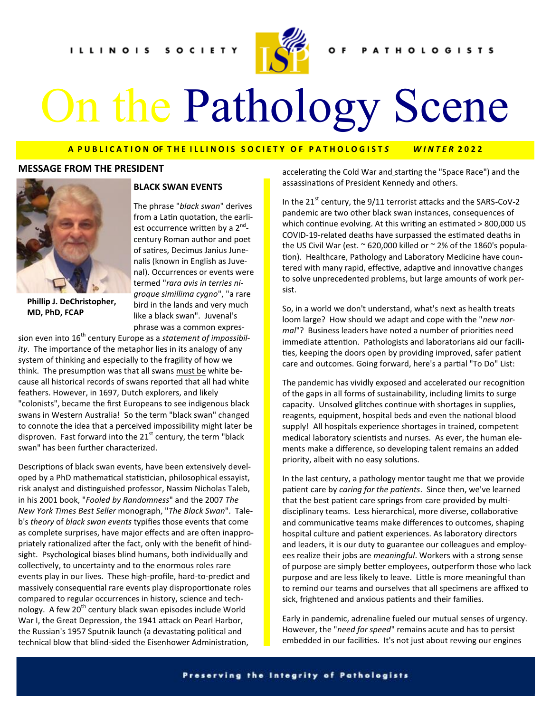

# On the Pathology Scene

#### **A P U B L I C A T I O N OF T H E I L L I N O I S S O C I E T Y O F P A T H O L O G I S T** *S W I N T E R* **2 0 2 2**

#### **MESSAGE FROM THE PRESIDENT**



**Phillip J. DeChristopher, MD, PhD, FCAP**

#### **BLACK SWAN EVENTS**

The phrase "*black swan*" derives from a Latin quotation, the earliest occurrence written by a 2<sup>nd</sup>century Roman author and poet of satires, Decimus Janius Junenalis (known in English as Juvenal). Occurrences or events were termed "*rara avis in terries nigroque simillima cygno*", "a rare bird in the lands and very much like a black swan". Juvenal's phrase was a common expres-

sion even into 16<sup>th</sup> century Europe as a *statement of impossibility*. The importance of the metaphor lies in its analogy of any system of thinking and especially to the fragility of how we think. The presumption was that all swans must be white because all historical records of swans reported that all had white feathers. However, in 1697, Dutch explorers, and likely "colonists", became the first Europeans to see indigenous black swans in Western Australia! So the term "black swan" changed to connote the idea that a perceived impossibility might later be disproven. Fast forward into the  $21^{st}$  century, the term "black swan" has been further characterized.

Descriptions of black swan events, have been extensively developed by a PhD mathematical statistician, philosophical essayist, risk analyst and distinguished professor, Nassim Nicholas Taleb, in his 2001 book, "*Fooled by Randomness*" and the 2007 *The New York Times Best Seller* monograph, "*The Black Swan*". Taleb's *theory* of *black swan events* typifies those events that come as complete surprises, have major effects and are often inappropriately rationalized after the fact, only with the benefit of hindsight. Psychological biases blind humans, both individually and collectively, to uncertainty and to the enormous roles rare events play in our lives. These high-profile, hard-to-predict and massively consequential rare events play disproportionate roles compared to regular occurrences in history, science and technology. A few 20<sup>th</sup> century black swan episodes include World War I, the Great Depression, the 1941 attack on Pearl Harbor, the Russian's 1957 Sputnik launch (a devastating political and technical blow that blind-sided the Eisenhower Administration,

accelerating the Cold War and starting the "Space Race") and the assassinations of President Kennedy and others.

In the 21<sup>st</sup> century, the 9/11 terrorist attacks and the SARS-CoV-2 pandemic are two other black swan instances, consequences of which continue evolving. At this writing an estimated > 800,000 US COVID-19-related deaths have surpassed the estimated deaths in the US Civil War (est.  $\sim$  620,000 killed or  $\sim$  2% of the 1860's population). Healthcare, Pathology and Laboratory Medicine have countered with many rapid, effective, adaptive and innovative changes to solve unprecedented problems, but large amounts of work persist.

So, in a world we don't understand, what's next as health treats loom large? How should we adapt and cope with the "*new normal*"? Business leaders have noted a number of priorities need immediate attention. Pathologists and laboratorians aid our facilities, keeping the doors open by providing improved, safer patient care and outcomes. Going forward, here's a partial "To Do" List:

The pandemic has vividly exposed and accelerated our recognition of the gaps in all forms of sustainability, including limits to surge capacity. Unsolved glitches continue with shortages in supplies, reagents, equipment, hospital beds and even the national blood supply! All hospitals experience shortages in trained, competent medical laboratory scientists and nurses. As ever, the human elements make a difference, so developing talent remains an added priority, albeit with no easy solutions.

In the last century, a pathology mentor taught me that we provide patient care by *caring for the patients*. Since then, we've learned that the best patient care springs from care provided by multidisciplinary teams. Less hierarchical, more diverse, collaborative and communicative teams make differences to outcomes, shaping hospital culture and patient experiences. As laboratory directors and leaders, it is our duty to guarantee our colleagues and employees realize their jobs are *meaningful*. Workers with a strong sense of purpose are simply better employees, outperform those who lack purpose and are less likely to leave. Little is more meaningful than to remind our teams and ourselves that all specimens are affixed to sick, frightened and anxious patients and their families.

Early in pandemic, adrenaline fueled our mutual senses of urgency. However, the "*need for speed*" remains acute and has to persist embedded in our facilities. It's not just about revving our engines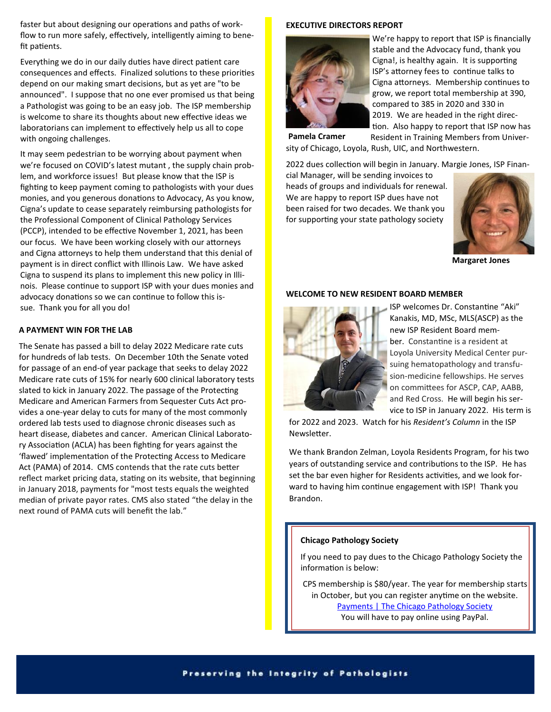faster but about designing our operations and paths of workflow to run more safely, effectively, intelligently aiming to benefit patients.

Everything we do in our daily duties have direct patient care consequences and effects. Finalized solutions to these priorities depend on our making smart decisions, but as yet are "to be announced". I suppose that no one ever promised us that being a Pathologist was going to be an easy job. The ISP membership is welcome to share its thoughts about new effective ideas we laboratorians can implement to effectively help us all to cope with ongoing challenges.

It may seem pedestrian to be worrying about payment when we're focused on COVID's latest mutant , the supply chain problem, and workforce issues! But please know that the ISP is fighting to keep payment coming to pathologists with your dues monies, and you generous donations to Advocacy, As you know, Cigna's update to cease separately reimbursing pathologists for the Professional Component of Clinical Pathology Services (PCCP), intended to be effective November 1, 2021, has been our focus. We have been working closely with our attorneys and Cigna attorneys to help them understand that this denial of payment is in direct conflict with Illinois Law. We have asked Cigna to suspend its plans to implement this new policy in Illinois. Please continue to support ISP with your dues monies and advocacy donations so we can continue to follow this issue. Thank you for all you do!

#### **A PAYMENT WIN FOR THE LAB**

The Senate has passed a bill to delay 2022 Medicare rate cuts for hundreds of lab tests. On December 10th the Senate voted for passage of an end-of year package that seeks to delay 2022 Medicare rate cuts of 15% for nearly 600 clinical laboratory tests slated to kick in January 2022. The passage of the Protecting Medicare and American Farmers from Sequester Cuts Act provides a one-year delay to cuts for many of the most commonly ordered lab tests used to diagnose chronic diseases such as heart disease, diabetes and cancer. American Clinical Laboratory Association (ACLA) has been fighting for years against the 'flawed' implementation of the Protecting Access to Medicare Act (PAMA) of 2014. CMS contends that the rate cuts better reflect market pricing data, [stating](https://www.cms.gov/Medicare/Medicare-Fee-for-Service-Payment/ClinicalLabFeeSched/PAMA-Regulations) on its website, that beginning in January 2018, payments for "most tests equals the weighted median of private payor rates. CMS also stated "the delay in the next round of PAMA cuts will benefit the lab."

#### **EXECUTIVE DIRECTORS REPORT**



We're happy to report that ISP is financially stable and the Advocacy fund, thank you Cigna!, is healthy again. It is supporting ISP's attorney fees to continue talks to Cigna attorneys. Membership continues to grow, we report total membership at 390, compared to 385 in 2020 and 330 in 2019. We are headed in the right direction. Also happy to report that ISP now has Resident in Training Members from Univer-

sity of Chicago, Loyola, Rush, UIC, and Northwestern. **Pamela Cramer**

2022 dues collection will begin in January. Margie Jones, ISP Finan-

cial Manager, will be sending invoices to heads of groups and individuals for renewal. We are happy to report ISP dues have not been raised for two decades. We thank you for supporting your state pathology society



**Margaret Jones**

#### **WELCOME TO NEW RESIDENT BOARD MEMBER**



ISP welcomes Dr. Constantine "Aki" Kanakis, MD, MSc, MLS(ASCP) as the new ISP Resident Board member. Constantine is a resident at Loyola University Medical Center pursuing hematopathology and transfusion-medicine fellowships. He serves on committees for ASCP, CAP, AABB, and Red Cross. He will begin his service to ISP in January 2022. His term is

for 2022 and 2023. Watch for his *Resident's Column* in the ISP Newsletter.

We thank Brandon Zelman, Loyola Residents Program, for his two years of outstanding service and contributions to the ISP. He has set the bar even higher for Residents activities, and we look forward to having him continue engagement with ISP! Thank you Brandon.

#### **Chicago Pathology Society**

If you need to pay dues to the Chicago Pathology Society the information is below:

CPS membership is \$80/year. The year for membership starts in October, but you can register anytime on the website. [Payments | The Chicago Pathology Society](https://url.emailprotection.link/?bj8ftehAGtF2KwIFutJBCoW57rOt1wwzh3Drls-eAk8Pnx6QKZSHD9X1LSfOymGidH7PP3a7GIlvQWdOPORlS7Ozly2HGU45wH-y_UN6ekno7AFusYnkXHxuwFu4uU03o)  You will have to pay online using PayPal.